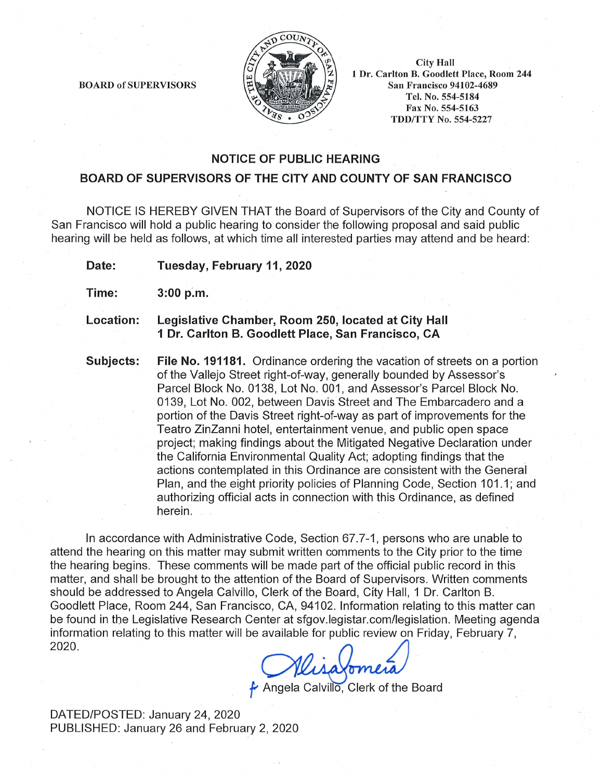

**City Hall** 1 Dr. Carlton B. Goodlett Place, Room 244 **San Francisco 94102-4689** Tel. No. 554-5184 Fax No. 554-5163 **TDD/TTY No. 554-5227** 

**BOARD of SUPERVISORS** 

## **NOTICE OF PUBLIC HEARING**

### **BOARD OF SUPERVISORS OF THE CITY AND COUNTY OF SAN FRANCISCO**

NOTICE IS HEREBY GIVEN THAT the Board of Supervisors of the City and County of San Francisco will hold a public hearing to consider the following proposal and said public hearing will be held as follows, at which time all interested parties may attend and be heard:

Tuesday, February 11, 2020 Date:

- Time:  $3:00 p.m.$
- Legislative Chamber, Room 250, located at City Hall Location: 1 Dr. Carlton B. Goodlett Place, San Francisco, CA
- Subjects: **File No. 191181.** Ordinance ordering the vacation of streets on a portion of the Vallejo Street right-of-way, generally bounded by Assessor's Parcel Block No. 0138, Lot No. 001, and Assessor's Parcel Block No. 0139. Lot No. 002. between Davis Street and The Embarcadero and a portion of the Davis Street right-of-way as part of improvements for the Teatro ZinZanni hotel, entertainment venue, and public open space project; making findings about the Mitigated Negative Declaration under the California Environmental Quality Act; adopting findings that the actions contemplated in this Ordinance are consistent with the General Plan, and the eight priority policies of Planning Code, Section 101.1; and authorizing official acts in connection with this Ordinance, as defined herein.

In accordance with Administrative Code, Section 67.7-1, persons who are unable to attend the hearing on this matter may submit written comments to the City prior to the time the hearing begins. These comments will be made part of the official public record in this matter, and shall be brought to the attention of the Board of Supervisors. Written comments should be addressed to Angela Calvillo, Clerk of the Board, City Hall, 1 Dr. Carlton B. Goodlett Place, Room 244, San Francisco, CA, 94102. Information relating to this matter can be found in the Legislative Research Center at sfgov.legistar.com/legislation. Meeting agenda information relating to this matter will be available for public review on Friday, February 7, 2020.

Angela Calvillo, Clerk of the Board

DATED/POSTED: January 24, 2020 PUBLISHED: January 26 and February 2, 2020